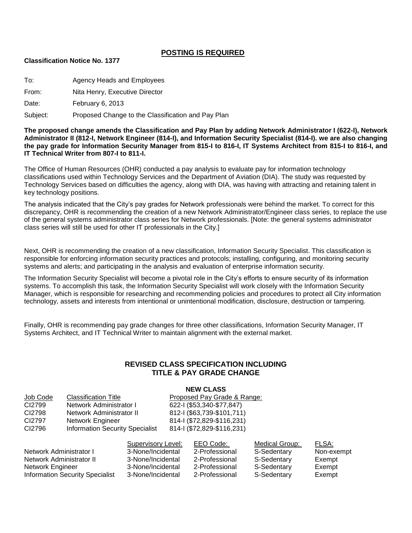## **POSTING IS REQUIRED**

#### **Classification Notice No. 1377**

To: Agency Heads and Employees

From: Nita Henry, Executive Director

Date: February 6, 2013

Subject: Proposed Change to the Classification and Pay Plan

**The proposed change amends the Classification and Pay Plan by adding Network Administrator I (622-I), Network Administrator II (812-I, Network Engineer (814-I), and Information Security Specialist (814-I). we are also changing the pay grade for Information Security Manager from 815-I to 816-I, IT Systems Architect from 815-I to 816-I, and IT Technical Writer from 807-I to 811-I.**

The Office of Human Resources (OHR) conducted a pay analysis to evaluate pay for information technology classifications used within Technology Services and the Department of Aviation (DIA). The study was requested by Technology Services based on difficulties the agency, along with DIA, was having with attracting and retaining talent in key technology positions.

The analysis indicated that the City's pay grades for Network professionals were behind the market. To correct for this discrepancy, OHR is recommending the creation of a new Network Administrator/Engineer class series, to replace the use of the general systems administrator class series for Network professionals. [Note: the general systems administrator class series will still be used for other IT professionals in the City.]

Next, OHR is recommending the creation of a new classification, Information Security Specialist. This classification is responsible for enforcing information security practices and protocols; installing, configuring, and monitoring security systems and alerts; and participating in the analysis and evaluation of enterprise information security.

The Information Security Specialist will become a pivotal role in the City's efforts to ensure security of its information systems. To accomplish this task, the Information Security Specialist will work closely with the Information Security Manager, which is responsible for researching and recommending policies and procedures to protect all City information technology, assets and interests from intentional or unintentional modification, disclosure, destruction or tampering.

Finally, OHR is recommending pay grade changes for three other classifications, Information Security Manager, IT Systems Architect, and IT Technical Writer to maintain alignment with the external market.

### **REVISED CLASS SPECIFICATION INCLUDING TITLE & PAY GRADE CHANGE**

#### **NEW CLASS**

| Job Code                   | <b>Classification Title</b><br>Network Administrator I<br>Network Administrator II |                    | Proposed Pay Grade & Range:                             |                            |                |            |  |
|----------------------------|------------------------------------------------------------------------------------|--------------------|---------------------------------------------------------|----------------------------|----------------|------------|--|
| CI2799                     |                                                                                    |                    | 622-1 (\$53,340-\$77,847)<br>812-1 (\$63,739-\$101,711) |                            |                |            |  |
| CI2798                     |                                                                                    |                    |                                                         |                            |                |            |  |
| CI2797<br>Network Engineer |                                                                                    |                    |                                                         | 814-1 (\$72,829-\$116,231) |                |            |  |
| CI2796                     | <b>Information Security Specialist</b>                                             |                    |                                                         | 814-1 (\$72,829-\$116,231) |                |            |  |
|                            |                                                                                    | Supervisory Level: |                                                         | EEO Code:                  | Medical Group: | FLSA:      |  |
| Network Administrator I    |                                                                                    | 3-None/Incidental  |                                                         | 2-Professional             | S-Sedentary    | Non-exempt |  |
| Network Administrator II   |                                                                                    | 3-None/Incidental  |                                                         | 2-Professional             | S-Sedentary    | Exempt     |  |
| Network Engineer           |                                                                                    | 3-None/Incidental  |                                                         | 2-Professional             | S-Sedentary    | Exempt     |  |

Information Security Specialist 3-None/Incidental 2-Professional S-Sedentary Exempt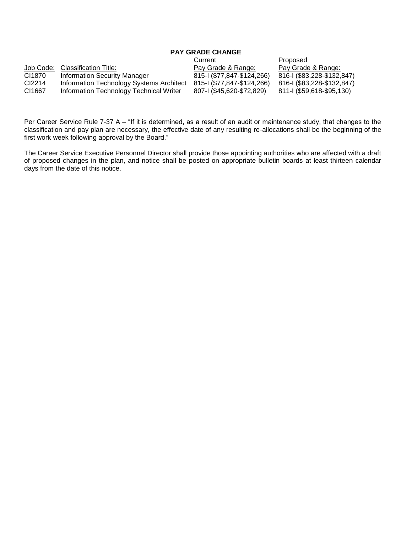# **PAY GRADE CHANGE**

|           |                                          | Current                    | Proposed                   |
|-----------|------------------------------------------|----------------------------|----------------------------|
| Job Code: | Classification Title:                    | Pay Grade & Range:         | Pay Grade & Range:         |
| CI1870    | Information Security Manager             | 815-1 (\$77,847-\$124,266) | 816-1 (\$83,228-\$132,847) |
| CI2214    | Information Technology Systems Architect | 815-1 (\$77,847-\$124,266) | 816-1 (\$83,228-\$132,847) |
| CI1667    | Information Technology Technical Writer  | 807-1 (\$45,620-\$72,829)  | 811-I (\$59,618-\$95,130)  |

Per Career Service Rule 7-37 A – "If it is determined, as a result of an audit or maintenance study, that changes to the classification and pay plan are necessary, the effective date of any resulting re-allocations shall be the beginning of the first work week following approval by the Board."

The Career Service Executive Personnel Director shall provide those appointing authorities who are affected with a draft of proposed changes in the plan, and notice shall be posted on appropriate bulletin boards at least thirteen calendar days from the date of this notice.